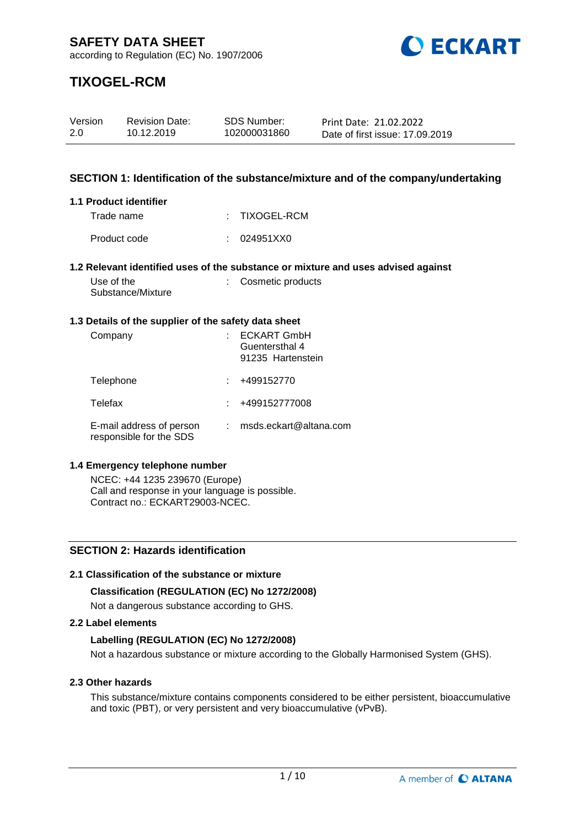

## **TIXOGEL-RCM**

| Version | <b>Revision Date:</b> | SDS Number:  | Print Date: 21.02.2022          |
|---------|-----------------------|--------------|---------------------------------|
| 2.0     | 10.12.2019            | 102000031860 | Date of first issue: 17,09,2019 |

## **SECTION 1: Identification of the substance/mixture and of the company/undertaking**

#### **1.1 Product identifier**

| Trade name   | : TIXOGEL-RCM |
|--------------|---------------|
| Product code | : 024951XX0   |

#### **1.2 Relevant identified uses of the substance or mixture and uses advised against**

| Use of the        | : Cosmetic products |
|-------------------|---------------------|
| Substance/Mixture |                     |

#### **1.3 Details of the supplier of the safety data sheet**

| Company                                             | <b>ECKART GmbH</b><br>Guentersthal 4<br>91235 Hartenstein |
|-----------------------------------------------------|-----------------------------------------------------------|
| Telephone                                           | +499152770                                                |
| Telefax                                             | +499152777008                                             |
| E-mail address of person<br>responsible for the SDS | msds.eckart@altana.com                                    |

#### **1.4 Emergency telephone number**

NCEC: +44 1235 239670 (Europe) Call and response in your language is possible. Contract no.: ECKART29003-NCEC.

## **SECTION 2: Hazards identification**

#### **2.1 Classification of the substance or mixture**

#### **Classification (REGULATION (EC) No 1272/2008)**

Not a dangerous substance according to GHS.

#### **2.2 Label elements**

#### **Labelling (REGULATION (EC) No 1272/2008)**

Not a hazardous substance or mixture according to the Globally Harmonised System (GHS).

#### **2.3 Other hazards**

This substance/mixture contains components considered to be either persistent, bioaccumulative and toxic (PBT), or very persistent and very bioaccumulative (vPvB).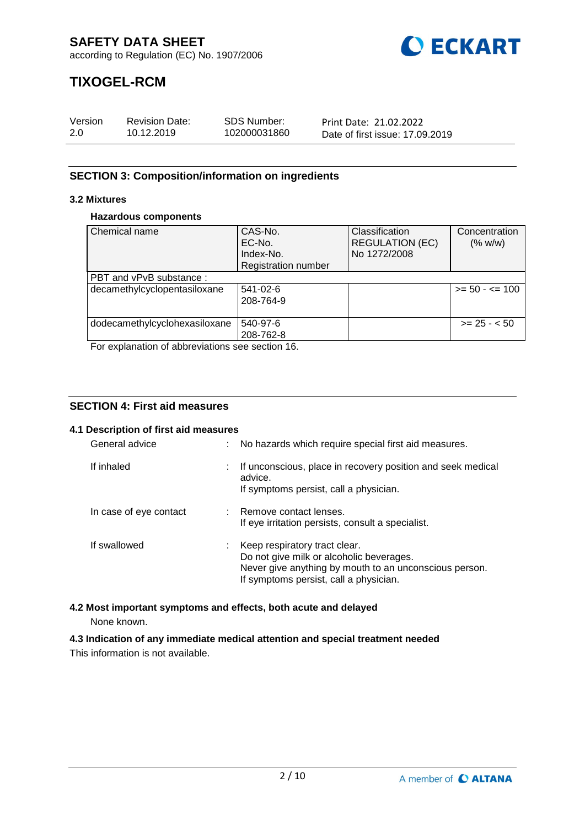

## **TIXOGEL-RCM**

| Version | <b>Revision Date:</b> | SDS Number:  | Print Date: 21.02.2022          |
|---------|-----------------------|--------------|---------------------------------|
| 2.0     | 10.12.2019            | 102000031860 | Date of first issue: 17,09,2019 |

## **SECTION 3: Composition/information on ingredients**

## **3.2 Mixtures**

#### **Hazardous components**

| Chemical name                 | CAS-No.<br>EC-No.<br>Index-No. | Classification<br><b>REGULATION (EC)</b><br>No 1272/2008 | Concentration<br>(% w/w) |
|-------------------------------|--------------------------------|----------------------------------------------------------|--------------------------|
|                               | <b>Registration number</b>     |                                                          |                          |
| PBT and vPvB substance:       |                                |                                                          |                          |
| decamethylcyclopentasiloxane  | 541-02-6<br>208-764-9          |                                                          | $>= 50 - 5 = 100$        |
| dodecamethylcyclohexasiloxane | 540-97-6<br>208-762-8          |                                                          | $>= 25 - 50$             |

For explanation of abbreviations see section 16.

## **SECTION 4: First aid measures**

#### **4.1 Description of first aid measures**

| General advice         |    | No hazards which require special first aid measures.                                                                                                                          |
|------------------------|----|-------------------------------------------------------------------------------------------------------------------------------------------------------------------------------|
| If inhaled             | ÷. | If unconscious, place in recovery position and seek medical<br>advice.<br>If symptoms persist, call a physician.                                                              |
| In case of eye contact |    | : Remove contact lenses.<br>If eye irritation persists, consult a specialist.                                                                                                 |
| If swallowed           | t. | Keep respiratory tract clear.<br>Do not give milk or alcoholic beverages.<br>Never give anything by mouth to an unconscious person.<br>If symptoms persist, call a physician. |

# **4.2 Most important symptoms and effects, both acute and delayed**

None known.

# **4.3 Indication of any immediate medical attention and special treatment needed**

This information is not available.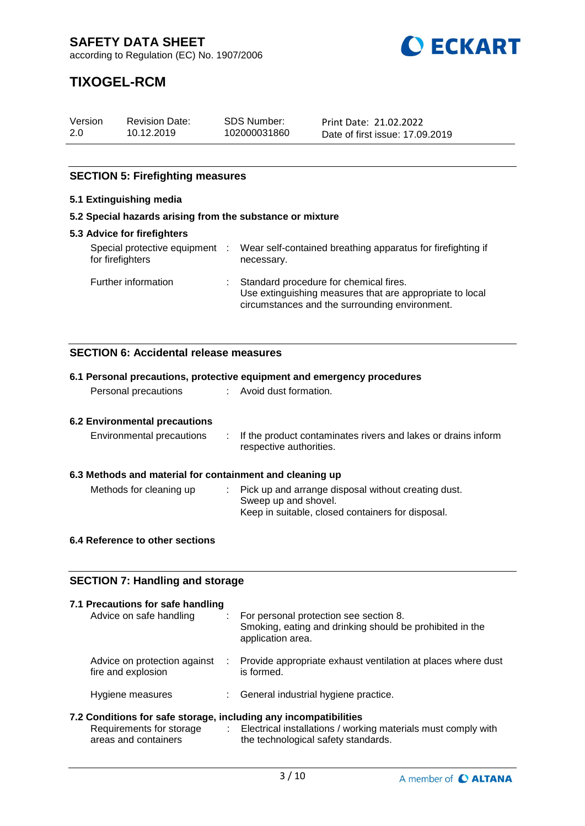

## **TIXOGEL-RCM**

| Version | <b>Revision Date:</b> | SDS Number:  | Print Date: 21.02.2022          |
|---------|-----------------------|--------------|---------------------------------|
| 2.0     | 10.12.2019            | 102000031860 | Date of first issue: 17.09.2019 |

## **SECTION 5: Firefighting measures**

## **5.1 Extinguishing media**

#### **5.2 Special hazards arising from the substance or mixture**

| <b>5.3 Advice for firefighters</b>               |              |                                                                                                                                                        |  |  |
|--------------------------------------------------|--------------|--------------------------------------------------------------------------------------------------------------------------------------------------------|--|--|
| Special protective equipment<br>for firefighters | $\mathbb{R}$ | Wear self-contained breathing apparatus for firefighting if<br>necessary.                                                                              |  |  |
| Further information                              |              | : Standard procedure for chemical fires.<br>Use extinguishing measures that are appropriate to local<br>circumstances and the surrounding environment. |  |  |

## **SECTION 6: Accidental release measures**

| 6.1 Personal precautions, protective equipment and emergency procedures |  |  |  |  |
|-------------------------------------------------------------------------|--|--|--|--|
|                                                                         |  |  |  |  |
|                                                                         |  |  |  |  |
| : If the product contaminates rivers and lakes or drains inform         |  |  |  |  |
| 6.3 Methods and material for containment and cleaning up                |  |  |  |  |
|                                                                         |  |  |  |  |
|                                                                         |  |  |  |  |

## **6.4 Reference to other sections**

## **SECTION 7: Handling and storage**

| 7.1 Precautions for safe handling<br>Advice on safe handling                                                         |   | For personal protection see section 8.<br>Smoking, eating and drinking should be prohibited in the<br>application area. |
|----------------------------------------------------------------------------------------------------------------------|---|-------------------------------------------------------------------------------------------------------------------------|
| Advice on protection against<br>fire and explosion                                                                   | ÷ | Provide appropriate exhaust ventilation at places where dust<br>is formed.                                              |
| Hygiene measures                                                                                                     |   | : General industrial hygiene practice.                                                                                  |
| 7.2 Conditions for safe storage, including any incompatibilities<br>Requirements for storage<br>areas and containers |   | : Electrical installations / working materials must comply with<br>the technological safety standards.                  |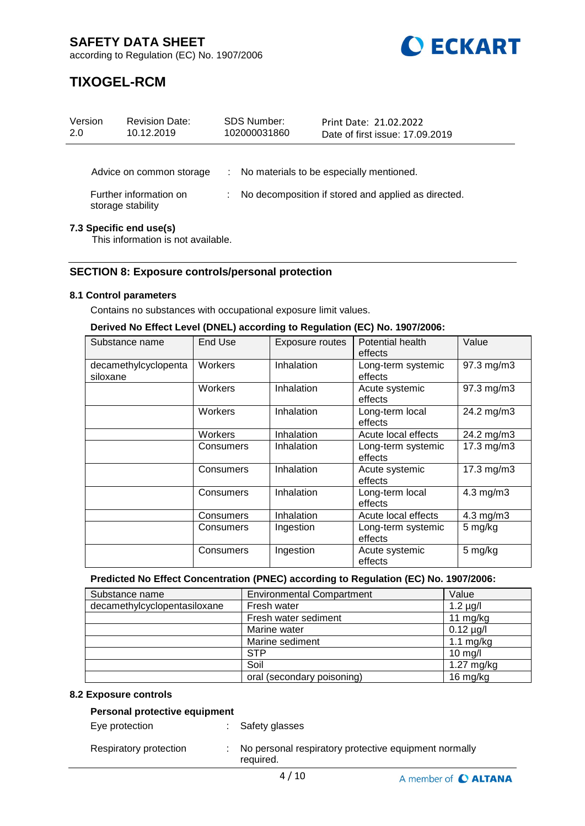

## **TIXOGEL-RCM**

| Version<br>2.0                                                | <b>Revision Date:</b><br>10.12.2019         |   | <b>SDS Number:</b><br>102000031860 | Print Date: 21.02.2022<br>Date of first issue: 17,09,2019 |
|---------------------------------------------------------------|---------------------------------------------|---|------------------------------------|-----------------------------------------------------------|
|                                                               | Advice on common storage                    | ÷ |                                    | No materials to be especially mentioned.                  |
|                                                               | Further information on<br>storage stability |   |                                    | No decomposition if stored and applied as directed.       |
| 7.3 Specific end use(s)<br>This information is not available. |                                             |   |                                    |                                                           |

### **SECTION 8: Exposure controls/personal protection**

#### **8.1 Control parameters**

Contains no substances with occupational exposure limit values.

#### **Derived No Effect Level (DNEL) according to Regulation (EC) No. 1907/2006:**

| Substance name                   | End Use   | <b>Exposure routes</b> | Potential health<br>effects   | Value          |
|----------------------------------|-----------|------------------------|-------------------------------|----------------|
| decamethylcyclopenta<br>siloxane | Workers   | Inhalation             | Long-term systemic<br>effects | 97.3 mg/m3     |
|                                  | Workers   | Inhalation             | Acute systemic<br>effects     | 97.3 mg/m3     |
|                                  | Workers   | Inhalation             | Long-term local<br>effects    | 24.2 mg/m3     |
|                                  | Workers   | Inhalation             | Acute local effects           | 24.2 mg/m3     |
|                                  | Consumers | Inhalation             | Long-term systemic<br>effects | 17.3 mg/m3     |
|                                  | Consumers | Inhalation             | Acute systemic<br>effects     | 17.3 mg/m3     |
|                                  | Consumers | Inhalation             | Long-term local<br>effects    | $4.3$ mg/m $3$ |
|                                  | Consumers | Inhalation             | Acute local effects           | $4.3$ mg/m $3$ |
|                                  | Consumers | Ingestion              | Long-term systemic<br>effects | 5 mg/kg        |
|                                  | Consumers | Ingestion              | Acute systemic<br>effects     | 5 mg/kg        |

#### **Predicted No Effect Concentration (PNEC) according to Regulation (EC) No. 1907/2006:**

| Substance name               | <b>Environmental Compartment</b> | Value          |
|------------------------------|----------------------------------|----------------|
| decamethylcyclopentasiloxane | Fresh water                      | $1.2 \mu g/l$  |
|                              | Fresh water sediment             | 11 $mg/kg$     |
|                              | Marine water                     | $0.12 \mu g/l$ |
|                              | Marine sediment                  | 1.1 $mg/kg$    |
|                              | <b>STP</b>                       | $10$ mg/l      |
|                              | Soil                             | $1.27$ mg/kg   |
|                              | oral (secondary poisoning)       | $16$ mg/kg     |

#### **8.2 Exposure controls**

### **Personal protective equipment**

Eye protection : Safety glasses

| Respiratory protection | No personal respiratory protective equipment normally<br>required. |
|------------------------|--------------------------------------------------------------------|
|                        |                                                                    |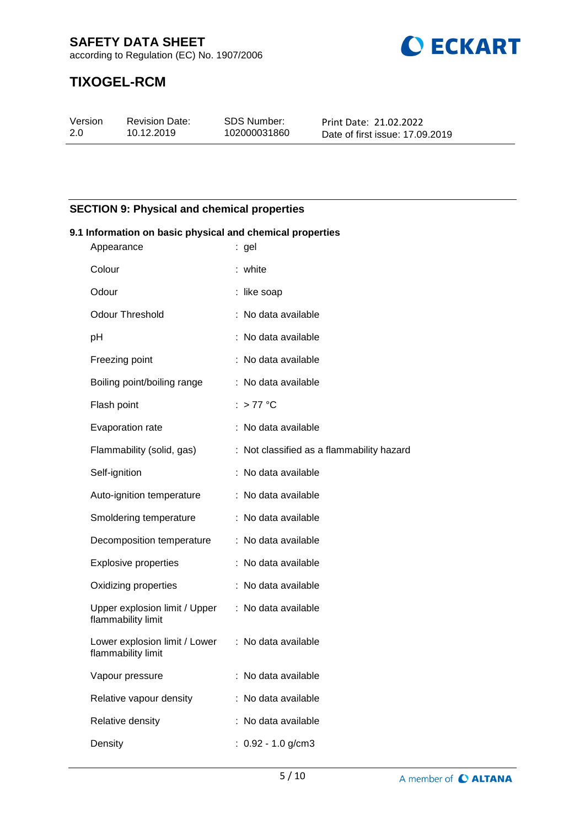

## **TIXOGEL-RCM**

| Version | <b>Revision Date:</b> | SDS Number:  | Print Date: 21.02.2022          |
|---------|-----------------------|--------------|---------------------------------|
| 2.0     | 10.12.2019            | 102000031860 | Date of first issue: 17,09,2019 |

## **SECTION 9: Physical and chemical properties**

#### **9.1 Information on basic physical and chemical properties** Appearance : gel

| Appearance                                          | . ger                                     |
|-----------------------------------------------------|-------------------------------------------|
| Colour                                              | : white                                   |
| Odour                                               | : like soap                               |
| Odour Threshold                                     | : No data available                       |
| pH                                                  | : No data available                       |
| Freezing point                                      | : No data available                       |
| Boiling point/boiling range                         | : No data available                       |
| Flash point                                         | : > 77 °C                                 |
| Evaporation rate                                    | : No data available                       |
| Flammability (solid, gas)                           | : Not classified as a flammability hazard |
| Self-ignition                                       | : No data available                       |
| Auto-ignition temperature                           | : No data available                       |
| Smoldering temperature                              | : No data available                       |
| Decomposition temperature                           | : No data available                       |
| <b>Explosive properties</b>                         | : No data available                       |
| Oxidizing properties                                | : No data available                       |
| Upper explosion limit / Upper<br>flammability limit | : No data available                       |
| Lower explosion limit / Lower<br>flammability limit | : No data available                       |
| Vapour pressure                                     | : No data available                       |
| Relative vapour density                             | : No data available                       |
| Relative density                                    | : No data available                       |
| Density                                             | : $0.92 - 1.0$ g/cm3                      |
|                                                     |                                           |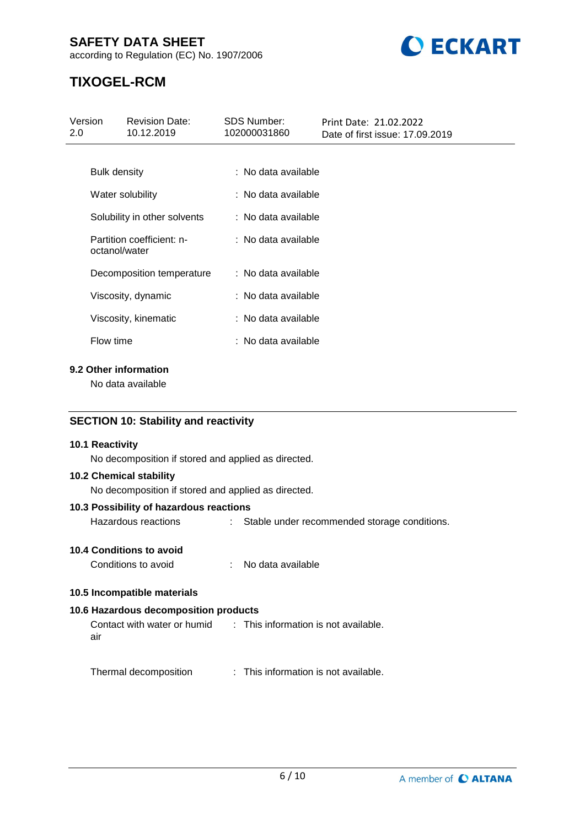## **SAFETY DATA SHEET**

according to Regulation (EC) No. 1907/2006



## **TIXOGEL-RCM**

| Version<br>2.0 |               | <b>Revision Date:</b><br>10.12.2019 | <b>SDS Number:</b><br>102000031860 | Print Date: 21.02.2022<br>Date of first issue: 17,09,2019 |
|----------------|---------------|-------------------------------------|------------------------------------|-----------------------------------------------------------|
|                |               |                                     |                                    |                                                           |
|                | Bulk density  |                                     | : No data available                |                                                           |
|                |               | Water solubility                    | : No data available                |                                                           |
|                |               | Solubility in other solvents        | : No data available                |                                                           |
|                | octanol/water | Partition coefficient: n-           | : No data available                |                                                           |
|                |               | Decomposition temperature           | : No data available                |                                                           |
|                |               | Viscosity, dynamic                  | : No data available                |                                                           |
|                |               | Viscosity, kinematic                | : No data available                |                                                           |
|                | Flow time     |                                     | : No data available                |                                                           |
|                |               |                                     |                                    |                                                           |

## **9.2 Other information**

No data available

## **SECTION 10: Stability and reactivity**

#### **10.1 Reactivity**

No decomposition if stored and applied as directed.

#### **10.2 Chemical stability**

No decomposition if stored and applied as directed.

#### **10.3 Possibility of hazardous reactions**

Hazardous reactions : Stable under recommended storage conditions.

### **10.4 Conditions to avoid**

Conditions to avoid : No data available

#### **10.5 Incompatible materials**

## **10.6 Hazardous decomposition products**

Contact with water or humid air : This information is not available.

Thermal decomposition : This information is not available.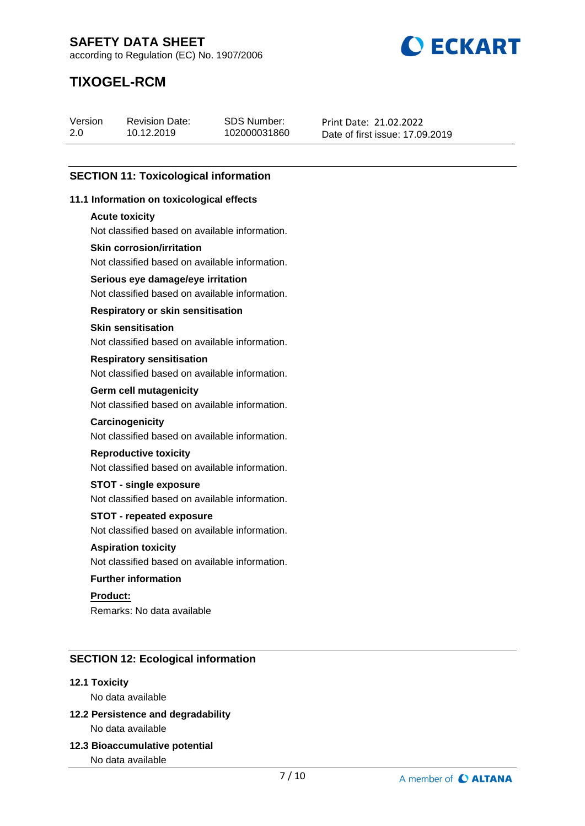**BECKART** 

according to Regulation (EC) No. 1907/2006

## **TIXOGEL-RCM**

| Version | <b>Revision Date:</b> | SDS Number:  | Print Date: 21.02.2022          |
|---------|-----------------------|--------------|---------------------------------|
| 2.0     | 10.12.2019            | 102000031860 | Date of first issue: 17,09,2019 |

## **SECTION 11: Toxicological information**

#### **11.1 Information on toxicological effects**

#### **Acute toxicity**

Not classified based on available information.

#### **Skin corrosion/irritation**

Not classified based on available information.

### **Serious eye damage/eye irritation**

Not classified based on available information.

#### **Respiratory or skin sensitisation**

#### **Skin sensitisation**

Not classified based on available information.

#### **Respiratory sensitisation**

Not classified based on available information.

#### **Germ cell mutagenicity**

Not classified based on available information.

#### **Carcinogenicity**

Not classified based on available information.

#### **Reproductive toxicity**

Not classified based on available information.

#### **STOT - single exposure**

Not classified based on available information.

#### **STOT - repeated exposure**

Not classified based on available information.

## **Aspiration toxicity**

Not classified based on available information.

#### **Further information**

**Product:** Remarks: No data available

## **SECTION 12: Ecological information**

#### **12.1 Toxicity**

No data available

## **12.2 Persistence and degradability** No data available

**12.3 Bioaccumulative potential**

No data available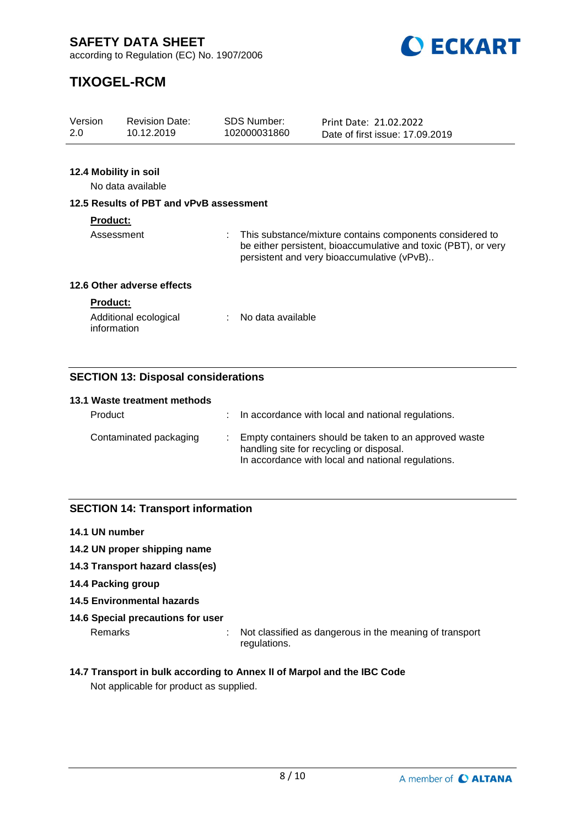

## **TIXOGEL-RCM**

| Version<br>2.0  | <b>Revision Date:</b><br>10.12.2019     | <b>SDS Number:</b><br>102000031860 | Print Date: 21.02.2022<br>Date of first issue: 17,09,2019                                                                                                                |
|-----------------|-----------------------------------------|------------------------------------|--------------------------------------------------------------------------------------------------------------------------------------------------------------------------|
|                 |                                         |                                    |                                                                                                                                                                          |
|                 | 12.4 Mobility in soil                   |                                    |                                                                                                                                                                          |
|                 | No data available                       |                                    |                                                                                                                                                                          |
|                 | 12.5 Results of PBT and vPvB assessment |                                    |                                                                                                                                                                          |
| <b>Product:</b> |                                         |                                    |                                                                                                                                                                          |
|                 | Assessment                              |                                    | This substance/mixture contains components considered to<br>be either persistent, bioaccumulative and toxic (PBT), or very<br>persistent and very bioaccumulative (vPvB) |
|                 | 12.6 Other adverse effects              |                                    |                                                                                                                                                                          |
| <b>Product:</b> |                                         |                                    |                                                                                                                                                                          |
|                 | Additional ecological<br>information    | No data available                  |                                                                                                                                                                          |

## **SECTION 13: Disposal considerations**

| 13.1 Waste treatment methods |                                                                                                                                                         |
|------------------------------|---------------------------------------------------------------------------------------------------------------------------------------------------------|
| Product                      | : In accordance with local and national regulations.                                                                                                    |
| Contaminated packaging       | Empty containers should be taken to an approved waste<br>handling site for recycling or disposal.<br>In accordance with local and national regulations. |

## **SECTION 14: Transport information**

- **14.1 UN number**
- **14.2 UN proper shipping name**
- **14.3 Transport hazard class(es)**
- **14.4 Packing group**
- **14.5 Environmental hazards**

## **14.6 Special precautions for user**

Remarks : Not classified as dangerous in the meaning of transport regulations.

## **14.7 Transport in bulk according to Annex II of Marpol and the IBC Code**

Not applicable for product as supplied.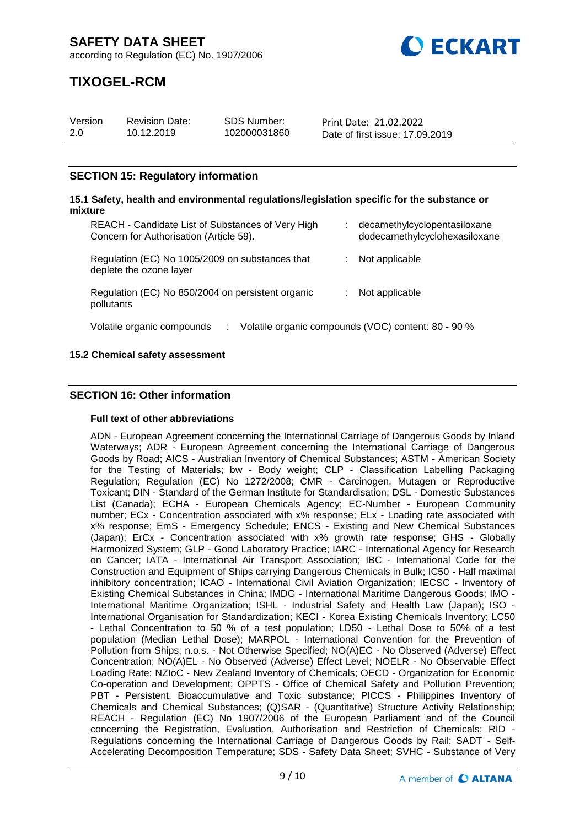

## **TIXOGEL-RCM**

| Version | <b>Revision Date:</b> | SDS Number:  | Print Date: 21.02.2022          |
|---------|-----------------------|--------------|---------------------------------|
| 2.0     | 10.12.2019            | 102000031860 | Date of first issue: 17,09,2019 |

## **SECTION 15: Regulatory information**

#### **15.1 Safety, health and environmental regulations/legislation specific for the substance or mixture** REACH - Candidate List of Substances of Very High Concern for Authorisation (Article 59). : decamethylcyclopentasiloxane dodecamethylcyclohexasiloxane Regulation (EC) No 1005/2009 on substances that deplete the ozone layer : Not applicable Regulation (EC) No 850/2004 on persistent organic pollutants : Not applicable Volatile organic compounds : Volatile organic compounds (VOC) content: 80 - 90 %

## **15.2 Chemical safety assessment**

## **SECTION 16: Other information**

#### **Full text of other abbreviations**

ADN - European Agreement concerning the International Carriage of Dangerous Goods by Inland Waterways; ADR - European Agreement concerning the International Carriage of Dangerous Goods by Road; AICS - Australian Inventory of Chemical Substances; ASTM - American Society for the Testing of Materials; bw - Body weight; CLP - Classification Labelling Packaging Regulation; Regulation (EC) No 1272/2008; CMR - Carcinogen, Mutagen or Reproductive Toxicant; DIN - Standard of the German Institute for Standardisation; DSL - Domestic Substances List (Canada); ECHA - European Chemicals Agency; EC-Number - European Community number; ECx - Concentration associated with x% response; ELx - Loading rate associated with x% response; EmS - Emergency Schedule; ENCS - Existing and New Chemical Substances (Japan); ErCx - Concentration associated with x% growth rate response; GHS - Globally Harmonized System; GLP - Good Laboratory Practice; IARC - International Agency for Research on Cancer; IATA - International Air Transport Association; IBC - International Code for the Construction and Equipment of Ships carrying Dangerous Chemicals in Bulk; IC50 - Half maximal inhibitory concentration; ICAO - International Civil Aviation Organization; IECSC - Inventory of Existing Chemical Substances in China; IMDG - International Maritime Dangerous Goods; IMO - International Maritime Organization; ISHL - Industrial Safety and Health Law (Japan); ISO - International Organisation for Standardization; KECI - Korea Existing Chemicals Inventory; LC50 - Lethal Concentration to 50 % of a test population; LD50 - Lethal Dose to 50% of a test population (Median Lethal Dose); MARPOL - International Convention for the Prevention of Pollution from Ships; n.o.s. - Not Otherwise Specified; NO(A)EC - No Observed (Adverse) Effect Concentration; NO(A)EL - No Observed (Adverse) Effect Level; NOELR - No Observable Effect Loading Rate; NZIoC - New Zealand Inventory of Chemicals; OECD - Organization for Economic Co-operation and Development; OPPTS - Office of Chemical Safety and Pollution Prevention; PBT - Persistent, Bioaccumulative and Toxic substance; PICCS - Philippines Inventory of Chemicals and Chemical Substances; (Q)SAR - (Quantitative) Structure Activity Relationship; REACH - Regulation (EC) No 1907/2006 of the European Parliament and of the Council concerning the Registration, Evaluation, Authorisation and Restriction of Chemicals; RID - Regulations concerning the International Carriage of Dangerous Goods by Rail; SADT - Self-Accelerating Decomposition Temperature; SDS - Safety Data Sheet; SVHC - Substance of Very